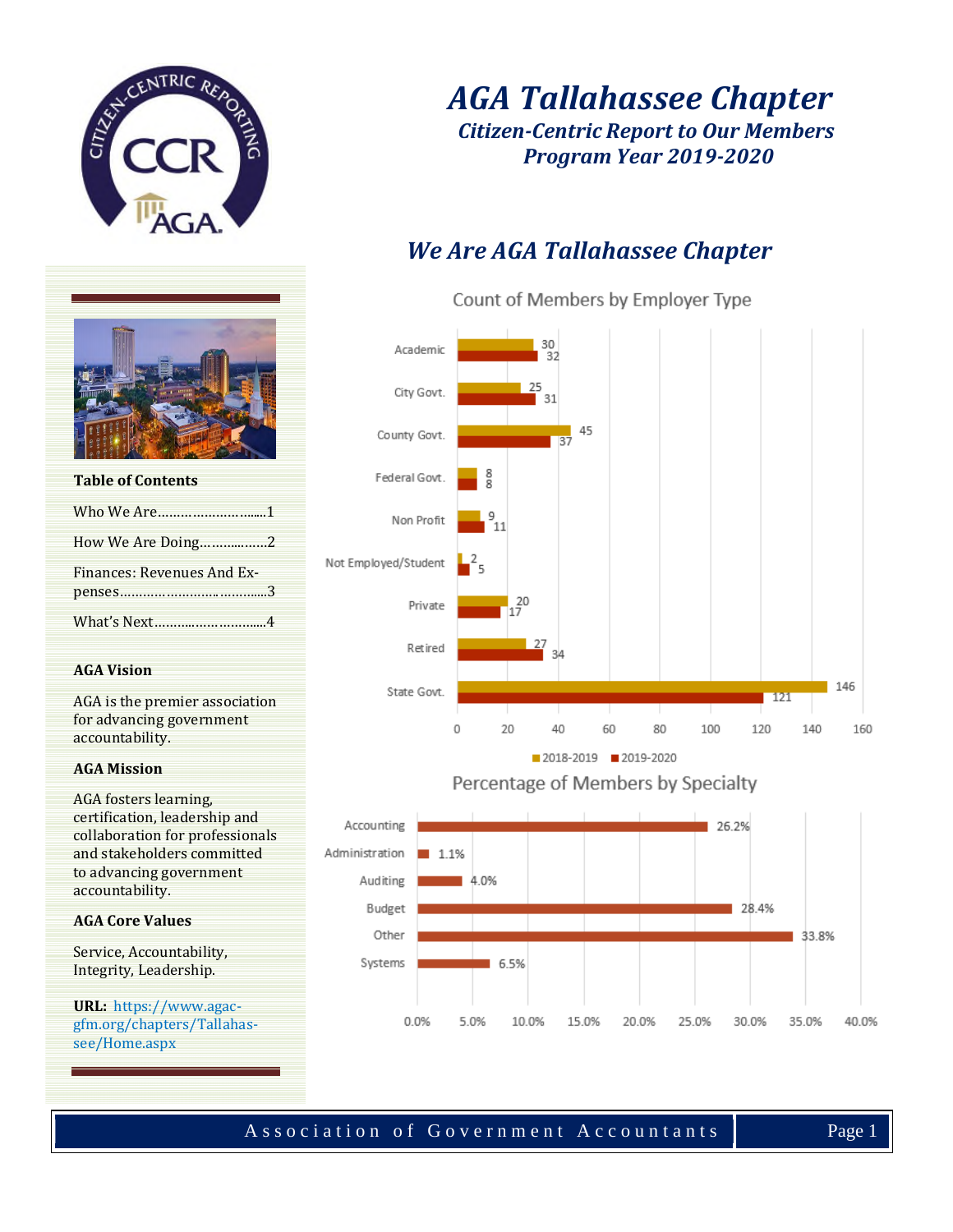

### *AGA Tallahassee Chapter Citizen-Centric Report to Our Members Program Year 2019-2020*

## *We Are AGA Tallahassee Chapter*

Count of Members by Employer Type



Percentage of Members by Specialty



### **AGA Core Values**

accountability.

**Table of Contents**

**AGA Vision**

accountability. **AGA Mission**

AGA fosters learning, certification, leadership and collaboration for professionals and stakeholders committed to advancing government

Who We Are…………………….....1 How We Are Doing………...……2

Finances: Revenues And Expenses……………………..………....3 What's Next………..……………....4

AGA is the premier association for advancing government

Service, Accountability, Integrity, Leadership.

**URL:** https://www.agacgfm.org/chapters/Tallahassee/Home.aspx

Association of Government Accountants Page 1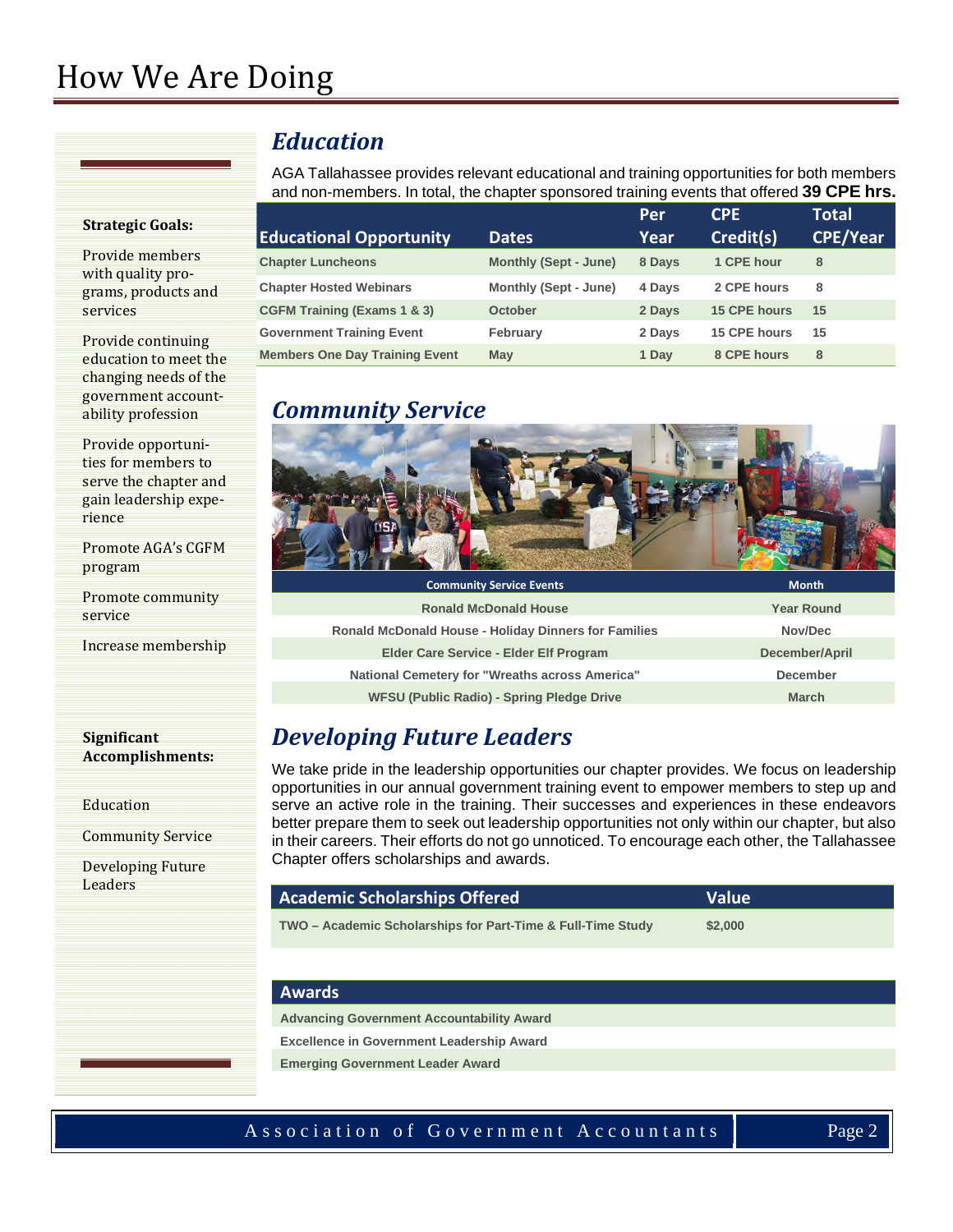# How We Are Doing

#### **Strategic Goals:**

Provide members with quality programs, products and services

Provide continuing education to meet the changing needs of the government accountability profession

Provide opportunities for members to serve the chapter and gain leadership experience

Promote AGA's CGFM program

Promote community service

Increase membership

#### **Significant Accomplishments:**

Education

Community Service

Developing Future **Leaders** 

### *Education*

AGA Tallahassee provides relevant educational and training opportunities for both members and non-members. In total, the chapter sponsored training events that offered **39 CPE hrs.**

|                                        |                              | Per    | <b>CPE</b>          | <b>Total</b>    |
|----------------------------------------|------------------------------|--------|---------------------|-----------------|
| <b>Educational Opportunity</b>         | <b>Dates</b>                 | Year   | Credit(s)           | <b>CPE/Year</b> |
| <b>Chapter Luncheons</b>               | <b>Monthly (Sept - June)</b> | 8 Days | 1 CPE hour          | 8               |
| <b>Chapter Hosted Webinars</b>         | Monthly (Sept - June)        | 4 Days | 2 CPE hours         | 8               |
| <b>CGFM Training (Exams 1 &amp; 3)</b> | <b>October</b>               | 2 Days | <b>15 CPE hours</b> | 15              |
| <b>Government Training Event</b>       | February                     | 2 Days | 15 CPE hours        | 15              |
| <b>Members One Day Training Event</b>  | May                          | 1 Day  | 8 CPE hours         | 8               |

### *Community Service*



| <b>Community Service Events</b>                             | <b>Month</b>      |
|-------------------------------------------------------------|-------------------|
| <b>Ronald McDonald House</b>                                | <b>Year Round</b> |
| <b>Ronald McDonald House - Holiday Dinners for Families</b> | Nov/Dec           |
| Elder Care Service - Elder Elf Program                      | December/April    |
| National Cemetery for "Wreaths across America"              | December          |
| <b>WFSU (Public Radio) - Spring Pledge Drive</b>            | <b>March</b>      |

### *Developing Future Leaders*

We take pride in the leadership opportunities our chapter provides. We focus on leadership opportunities in our annual government training event to empower members to step up and serve an active role in the training. Their successes and experiences in these endeavors better prepare them to seek out leadership opportunities not only within our chapter, but also in their careers. Their efforts do not go unnoticed. To encourage each other, the Tallahassee Chapter offers scholarships and awards.

### **Academic Scholarships Offered Value**

**TWO – Academic Scholarships for Part-Time & Full-Time Study \$2,000**

#### **Awards**

**Advancing Government Accountability Award**

**Excellence in Government Leadership Award**

**Emerging Government Leader Award**

#### Association of Government Accountants Page 2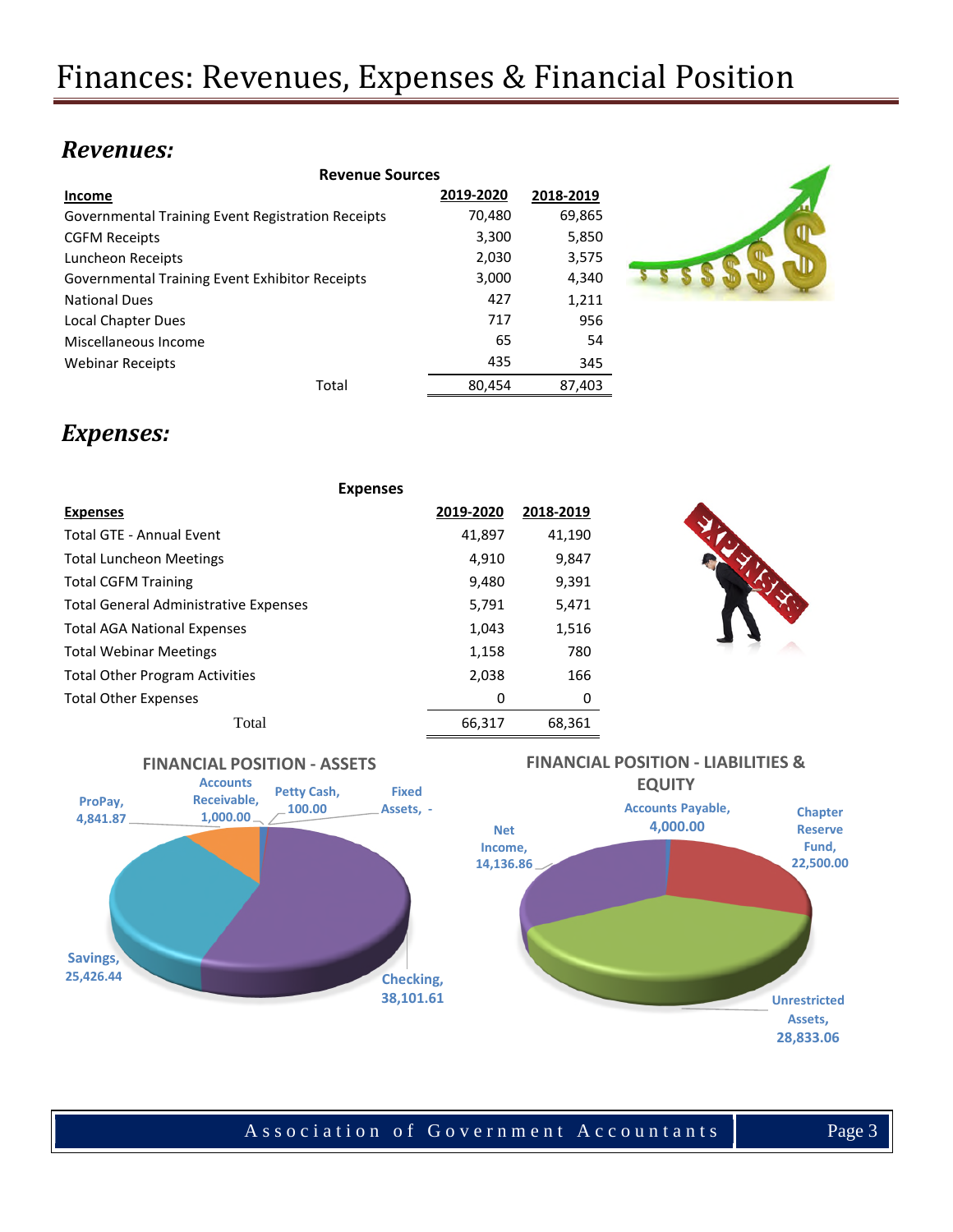### *Revenues:*

| <b>Revenue Sources</b>                            |           |           |  |  |
|---------------------------------------------------|-----------|-----------|--|--|
| Income                                            | 2019-2020 | 2018-2019 |  |  |
| Governmental Training Event Registration Receipts | 70,480    | 69,865    |  |  |
| <b>CGFM Receipts</b>                              | 3,300     | 5,850     |  |  |
| Luncheon Receipts                                 | 2,030     | 3,575     |  |  |
| Governmental Training Event Exhibitor Receipts    | 3,000     | 4,340     |  |  |
| <b>National Dues</b>                              | 427       | 1,211     |  |  |
| Local Chapter Dues                                | 717       | 956       |  |  |
| Miscellaneous Income                              | 65        | 54        |  |  |
| <b>Webinar Receipts</b>                           | 435       | 345       |  |  |
| Total                                             | 80,454    | 87,403    |  |  |



### *Expenses:*

|                                              | <b>Expenses</b> |           |  |
|----------------------------------------------|-----------------|-----------|--|
| <b>Expenses</b>                              | 2019-2020       | 2018-2019 |  |
| <b>Total GTE - Annual Event</b>              | 41,897          | 41,190    |  |
| <b>Total Luncheon Meetings</b>               | 4,910           | 9,847     |  |
| <b>Total CGFM Training</b>                   | 9,480           | 9,391     |  |
| <b>Total General Administrative Expenses</b> | 5,791           | 5,471     |  |
| <b>Total AGA National Expenses</b>           | 1,043           | 1,516     |  |
| <b>Total Webinar Meetings</b>                | 1,158           | 780       |  |
| <b>Total Other Program Activities</b>        | 2,038           | 166       |  |
| <b>Total Other Expenses</b>                  | 0               | 0         |  |
| Total                                        | 66.317          | 68,361    |  |



# **FINANCIAL POSITION - ASSETS**